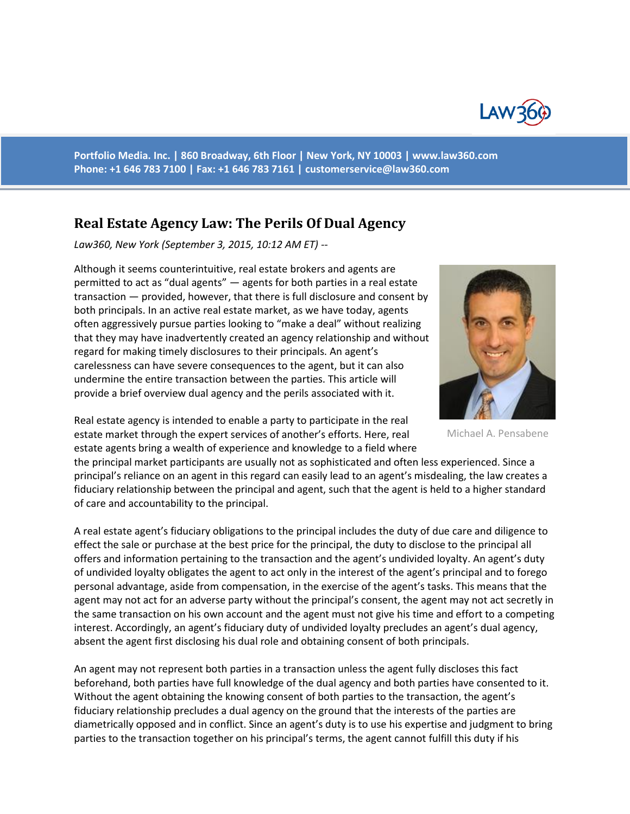

**Portfolio Media. Inc. | 860 Broadway, 6th Floor | New York, NY 10003 | www.law360.com Phone: +1 646 783 7100 | Fax: +1 646 783 7161 | [customerservice@law360.com](mailto:customerservice@law360.com)**

## **Real Estate Agency Law: The Perils Of Dual Agency**

*Law360, New York (September 3, 2015, 10:12 AM ET) --*

Although it seems counterintuitive, real estate brokers and agents are permitted to act as "dual agents" — agents for both parties in a real estate transaction — provided, however, that there is full disclosure and consent by both principals. In an active real estate market, as we have today, agents often aggressively pursue parties looking to "make a deal" without realizing that they may have inadvertently created an agency relationship and without regard for making timely disclosures to their principals. An agent's carelessness can have severe consequences to the agent, but it can also undermine the entire transaction between the parties. This article will provide a brief overview dual agency and the perils associated with it.



Michael A. Pensabene

Real estate agency is intended to enable a party to participate in the real estate market through the expert services of another's efforts. Here, real estate agents bring a wealth of experience and knowledge to a field where

the principal market participants are usually not as sophisticated and often less experienced. Since a principal's reliance on an agent in this regard can easily lead to an agent's misdealing, the law creates a fiduciary relationship between the principal and agent, such that the agent is held to a higher standard of care and accountability to the principal.

A real estate agent's fiduciary obligations to the principal includes the duty of due care and diligence to effect the sale or purchase at the best price for the principal, the duty to disclose to the principal all offers and information pertaining to the transaction and the agent's undivided loyalty. An agent's duty of undivided loyalty obligates the agent to act only in the interest of the agent's principal and to forego personal advantage, aside from compensation, in the exercise of the agent's tasks. This means that the agent may not act for an adverse party without the principal's consent, the agent may not act secretly in the same transaction on his own account and the agent must not give his time and effort to a competing interest. Accordingly, an agent's fiduciary duty of undivided loyalty precludes an agent's dual agency, absent the agent first disclosing his dual role and obtaining consent of both principals.

An agent may not represent both parties in a transaction unless the agent fully discloses this fact beforehand, both parties have full knowledge of the dual agency and both parties have consented to it. Without the agent obtaining the knowing consent of both parties to the transaction, the agent's fiduciary relationship precludes a dual agency on the ground that the interests of the parties are diametrically opposed and in conflict. Since an agent's duty is to use his expertise and judgment to bring parties to the transaction together on his principal's terms, the agent cannot fulfill this duty if his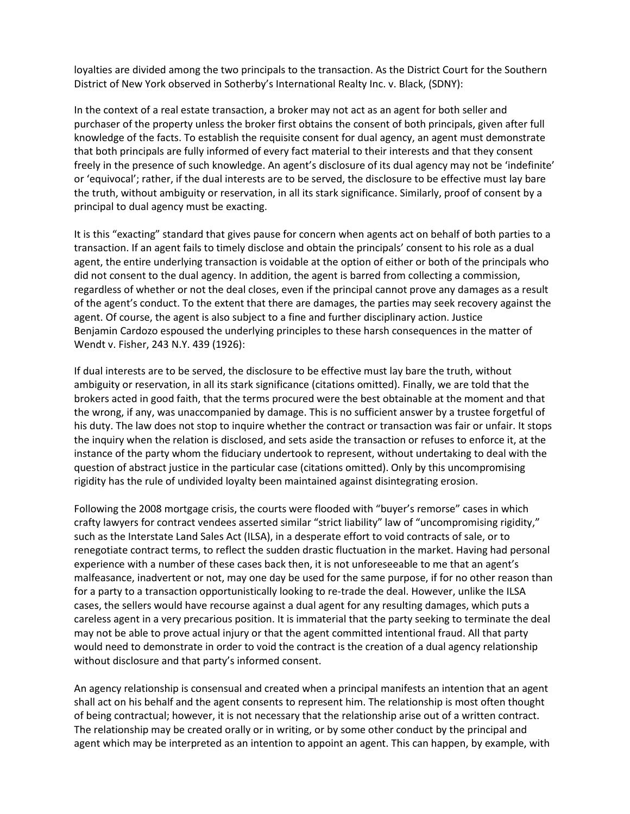loyalties are divided among the two principals to the transaction. As the District Court for the Southern District of New York observed in Sotherby's International Realty Inc. v. Black, (SDNY):

In the context of a real estate transaction, a broker may not act as an agent for both seller and purchaser of the property unless the broker first obtains the consent of both principals, given after full knowledge of the facts. To establish the requisite consent for dual agency, an agent must demonstrate that both principals are fully informed of every fact material to their interests and that they consent freely in the presence of such knowledge. An agent's disclosure of its dual agency may not be 'indefinite' or 'equivocal'; rather, if the dual interests are to be served, the disclosure to be effective must lay bare the truth, without ambiguity or reservation, in all its stark significance. Similarly, proof of consent by a principal to dual agency must be exacting.

It is this "exacting" standard that gives pause for concern when agents act on behalf of both parties to a transaction. If an agent fails to timely disclose and obtain the principals' consent to his role as a dual agent, the entire underlying transaction is voidable at the option of either or both of the principals who did not consent to the dual agency. In addition, the agent is barred from collecting a commission, regardless of whether or not the deal closes, even if the principal cannot prove any damages as a result of the agent's conduct. To the extent that there are damages, the parties may seek recovery against the agent. Of course, the agent is also subject to a fine and further disciplinary action. Justice Benjamin Cardozo espoused the underlying principles to these harsh consequences in the matter of Wendt v. Fisher, 243 N.Y. 439 (1926):

If dual interests are to be served, the disclosure to be effective must lay bare the truth, without ambiguity or reservation, in all its stark significance (citations omitted). Finally, we are told that the brokers acted in good faith, that the terms procured were the best obtainable at the moment and that the wrong, if any, was unaccompanied by damage. This is no sufficient answer by a trustee forgetful of his duty. The law does not stop to inquire whether the contract or transaction was fair or unfair. It stops the inquiry when the relation is disclosed, and sets aside the transaction or refuses to enforce it, at the instance of the party whom the fiduciary undertook to represent, without undertaking to deal with the question of abstract justice in the particular case (citations omitted). Only by this uncompromising rigidity has the rule of undivided loyalty been maintained against disintegrating erosion.

Following the 2008 mortgage crisis, the courts were flooded with "buyer's remorse" cases in which crafty lawyers for contract vendees asserted similar "strict liability" law of "uncompromising rigidity," such as the Interstate Land Sales Act (ILSA), in a desperate effort to void contracts of sale, or to renegotiate contract terms, to reflect the sudden drastic fluctuation in the market. Having had personal experience with a number of these cases back then, it is not unforeseeable to me that an agent's malfeasance, inadvertent or not, may one day be used for the same purpose, if for no other reason than for a party to a transaction opportunistically looking to re-trade the deal. However, unlike the ILSA cases, the sellers would have recourse against a dual agent for any resulting damages, which puts a careless agent in a very precarious position. It is immaterial that the party seeking to terminate the deal may not be able to prove actual injury or that the agent committed intentional fraud. All that party would need to demonstrate in order to void the contract is the creation of a dual agency relationship without disclosure and that party's informed consent.

An agency relationship is consensual and created when a principal manifests an intention that an agent shall act on his behalf and the agent consents to represent him. The relationship is most often thought of being contractual; however, it is not necessary that the relationship arise out of a written contract. The relationship may be created orally or in writing, or by some other conduct by the principal and agent which may be interpreted as an intention to appoint an agent. This can happen, by example, with